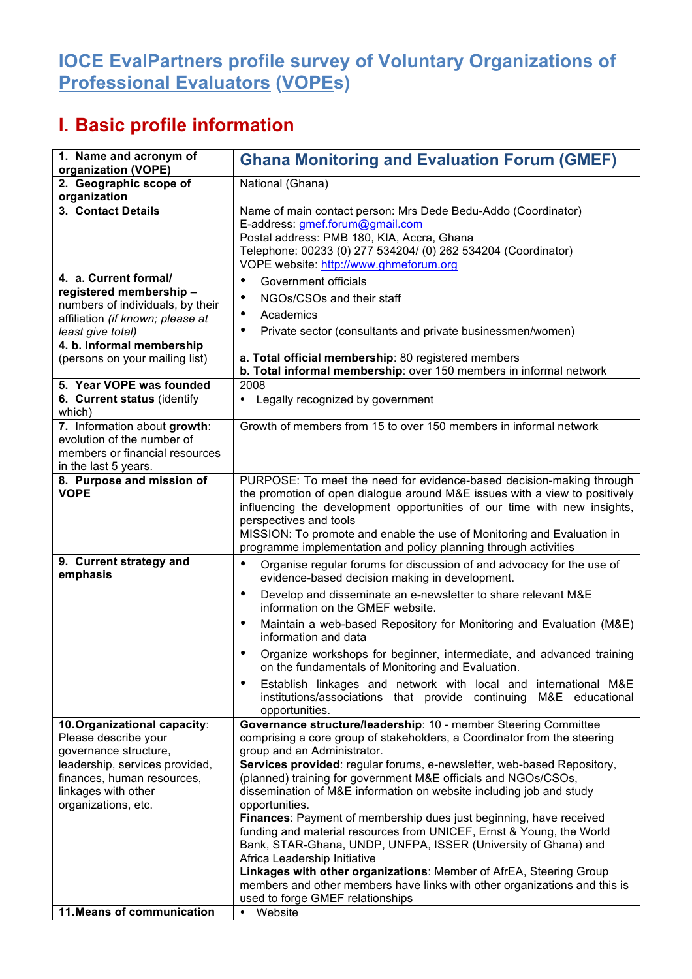## **IOCE EvalPartners profile survey of Voluntary Organizations of Professional Evaluators (VOPEs)**

## **I. Basic profile information**

| 1. Name and acronym of<br>organization (VOPE)                                                                                                                                               | <b>Ghana Monitoring and Evaluation Forum (GMEF)</b>                                                                                                                                                                                                                                                                                                                                                                                                                                                                                                                                                                                                                                                                                                                                                                |
|---------------------------------------------------------------------------------------------------------------------------------------------------------------------------------------------|--------------------------------------------------------------------------------------------------------------------------------------------------------------------------------------------------------------------------------------------------------------------------------------------------------------------------------------------------------------------------------------------------------------------------------------------------------------------------------------------------------------------------------------------------------------------------------------------------------------------------------------------------------------------------------------------------------------------------------------------------------------------------------------------------------------------|
| 2. Geographic scope of<br>organization                                                                                                                                                      | National (Ghana)                                                                                                                                                                                                                                                                                                                                                                                                                                                                                                                                                                                                                                                                                                                                                                                                   |
| 3. Contact Details<br>4. a. Current formal/                                                                                                                                                 | Name of main contact person: Mrs Dede Bedu-Addo (Coordinator)<br>E-address: gmef.forum@gmail.com<br>Postal address: PMB 180, KIA, Accra, Ghana<br>Telephone: 00233 (0) 277 534204/ (0) 262 534204 (Coordinator)<br>VOPE website: http://www.ghmeforum.org                                                                                                                                                                                                                                                                                                                                                                                                                                                                                                                                                          |
| registered membership-<br>numbers of individuals, by their<br>affiliation (if known; please at<br>least give total)<br>4. b. Informal membership<br>(persons on your mailing list)          | Government officials<br>$\bullet$<br>NGOs/CSOs and their staff<br>٠<br>Academics<br>$\bullet$<br>Private sector (consultants and private businessmen/women)<br>٠<br>a. Total official membership: 80 registered members<br>b. Total informal membership: over 150 members in informal network                                                                                                                                                                                                                                                                                                                                                                                                                                                                                                                      |
| 5. Year VOPE was founded<br>6. Current status (identify                                                                                                                                     | 2008<br>Legally recognized by government<br>$\bullet$                                                                                                                                                                                                                                                                                                                                                                                                                                                                                                                                                                                                                                                                                                                                                              |
| which)<br>7. Information about growth:<br>evolution of the number of<br>members or financial resources<br>in the last 5 years.                                                              | Growth of members from 15 to over 150 members in informal network                                                                                                                                                                                                                                                                                                                                                                                                                                                                                                                                                                                                                                                                                                                                                  |
| 8. Purpose and mission of<br><b>VOPE</b>                                                                                                                                                    | PURPOSE: To meet the need for evidence-based decision-making through<br>the promotion of open dialogue around M&E issues with a view to positively<br>influencing the development opportunities of our time with new insights,<br>perspectives and tools<br>MISSION: To promote and enable the use of Monitoring and Evaluation in<br>programme implementation and policy planning through activities                                                                                                                                                                                                                                                                                                                                                                                                              |
| 9. Current strategy and<br>emphasis                                                                                                                                                         | Organise regular forums for discussion of and advocacy for the use of<br>$\bullet$<br>evidence-based decision making in development.<br>Develop and disseminate an e-newsletter to share relevant M&E<br>٠                                                                                                                                                                                                                                                                                                                                                                                                                                                                                                                                                                                                         |
|                                                                                                                                                                                             | information on the GMEF website.<br>Maintain a web-based Repository for Monitoring and Evaluation (M&E)<br>$\bullet$<br>information and data<br>Organize workshops for beginner, intermediate, and advanced training<br>٠<br>on the fundamentals of Monitoring and Evaluation.<br>Establish linkages and network with local and international M&E<br>٠                                                                                                                                                                                                                                                                                                                                                                                                                                                             |
|                                                                                                                                                                                             | institutions/associations that provide continuing<br>M&E educational<br>opportunities.                                                                                                                                                                                                                                                                                                                                                                                                                                                                                                                                                                                                                                                                                                                             |
| 10. Organizational capacity:<br>Please describe your<br>governance structure,<br>leadership, services provided,<br>finances, human resources,<br>linkages with other<br>organizations, etc. | Governance structure/leadership: 10 - member Steering Committee<br>comprising a core group of stakeholders, a Coordinator from the steering<br>group and an Administrator.<br>Services provided: regular forums, e-newsletter, web-based Repository,<br>(planned) training for government M&E officials and NGOs/CSOs,<br>dissemination of M&E information on website including job and study<br>opportunities.<br>Finances: Payment of membership dues just beginning, have received<br>funding and material resources from UNICEF, Ernst & Young, the World<br>Bank, STAR-Ghana, UNDP, UNFPA, ISSER (University of Ghana) and<br>Africa Leadership Initiative<br>Linkages with other organizations: Member of AfrEA, Steering Group<br>members and other members have links with other organizations and this is |
| 11. Means of communication                                                                                                                                                                  | used to forge GMEF relationships<br>• Website                                                                                                                                                                                                                                                                                                                                                                                                                                                                                                                                                                                                                                                                                                                                                                      |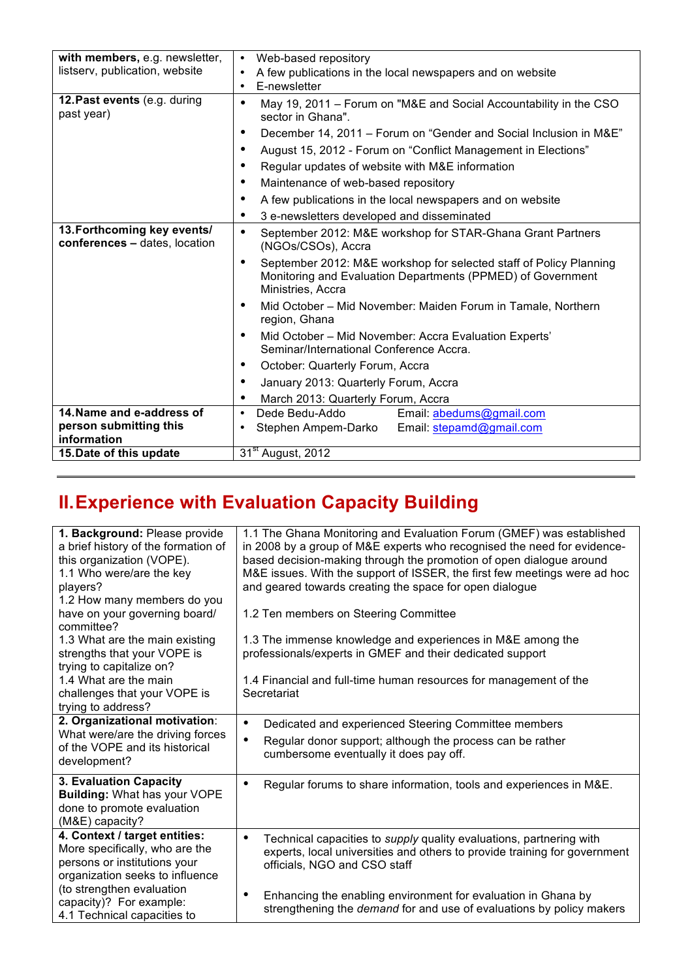| with members, e.g. newsletter,                               | Web-based repository<br>$\bullet$                                                                                                                                   |
|--------------------------------------------------------------|---------------------------------------------------------------------------------------------------------------------------------------------------------------------|
| listserv, publication, website                               | A few publications in the local newspapers and on website<br>٠                                                                                                      |
|                                                              | E-newsletter<br>$\bullet$                                                                                                                                           |
| 12. Past events (e.g. during<br>past year)                   | May 19, 2011 - Forum on "M&E and Social Accountability in the CSO<br>$\bullet$<br>sector in Ghana".                                                                 |
|                                                              | December 14, 2011 - Forum on "Gender and Social Inclusion in M&E"<br>٠                                                                                              |
|                                                              | August 15, 2012 - Forum on "Conflict Management in Elections"<br>$\bullet$                                                                                          |
|                                                              | Regular updates of website with M&E information<br>$\bullet$                                                                                                        |
|                                                              | Maintenance of web-based repository<br>٠                                                                                                                            |
|                                                              | A few publications in the local newspapers and on website<br>٠                                                                                                      |
|                                                              | 3 e-newsletters developed and disseminated<br>٠                                                                                                                     |
| 13. Forthcoming key events/<br>conferences - dates, location | $\bullet$<br>September 2012: M&E workshop for STAR-Ghana Grant Partners<br>(NGOs/CSOs), Accra                                                                       |
|                                                              | September 2012: M&E workshop for selected staff of Policy Planning<br>$\bullet$<br>Monitoring and Evaluation Departments (PPMED) of Government<br>Ministries, Accra |
|                                                              | Mid October - Mid November: Maiden Forum in Tamale, Northern<br>٠<br>region, Ghana                                                                                  |
|                                                              | Mid October - Mid November: Accra Evaluation Experts'<br>٠<br>Seminar/International Conference Accra.                                                               |
|                                                              | October: Quarterly Forum, Accra<br>٠                                                                                                                                |
|                                                              | January 2013: Quarterly Forum, Accra<br>٠                                                                                                                           |
|                                                              | March 2013: Quarterly Forum, Accra<br>٠                                                                                                                             |
| 14. Name and e-address of                                    | Dede Bedu-Addo<br>Email: abedums@gmail.com<br>$\bullet$                                                                                                             |
| person submitting this                                       | Email: stepamd@gmail.com<br>Stephen Ampem-Darko<br>٠                                                                                                                |
| information                                                  |                                                                                                                                                                     |
| 15. Date of this update                                      | 31 <sup>st</sup> August, 2012                                                                                                                                       |

## **II.Experience with Evaluation Capacity Building**

| 1. Background: Please provide<br>a brief history of the formation of<br>this organization (VOPE).<br>1.1 Who were/are the key<br>players?<br>1.2 How many members do you<br>have on your governing board/<br>committee?<br>1.3 What are the main existing<br>strengths that your VOPE is<br>trying to capitalize on?<br>1.4 What are the main<br>challenges that your VOPE is | 1.1 The Ghana Monitoring and Evaluation Forum (GMEF) was established<br>in 2008 by a group of M&E experts who recognised the need for evidence-<br>based decision-making through the promotion of open dialogue around<br>M&E issues. With the support of ISSER, the first few meetings were ad hoc<br>and geared towards creating the space for open dialogue<br>1.2 Ten members on Steering Committee<br>1.3 The immense knowledge and experiences in M&E among the<br>professionals/experts in GMEF and their dedicated support<br>1.4 Financial and full-time human resources for management of the<br>Secretariat |
|-------------------------------------------------------------------------------------------------------------------------------------------------------------------------------------------------------------------------------------------------------------------------------------------------------------------------------------------------------------------------------|------------------------------------------------------------------------------------------------------------------------------------------------------------------------------------------------------------------------------------------------------------------------------------------------------------------------------------------------------------------------------------------------------------------------------------------------------------------------------------------------------------------------------------------------------------------------------------------------------------------------|
| trying to address?                                                                                                                                                                                                                                                                                                                                                            |                                                                                                                                                                                                                                                                                                                                                                                                                                                                                                                                                                                                                        |
| 2. Organizational motivation:<br>What were/are the driving forces<br>of the VOPE and its historical<br>development?                                                                                                                                                                                                                                                           | Dedicated and experienced Steering Committee members<br>٠<br>Regular donor support; although the process can be rather<br>$\bullet$<br>cumbersome eventually it does pay off.                                                                                                                                                                                                                                                                                                                                                                                                                                          |
| 3. Evaluation Capacity<br><b>Building: What has your VOPE</b><br>done to promote evaluation<br>(M&E) capacity?                                                                                                                                                                                                                                                                | Regular forums to share information, tools and experiences in M&E.<br>٠                                                                                                                                                                                                                                                                                                                                                                                                                                                                                                                                                |
| 4. Context / target entities:<br>More specifically, who are the<br>persons or institutions your<br>organization seeks to influence                                                                                                                                                                                                                                            | Technical capacities to supply quality evaluations, partnering with<br>experts, local universities and others to provide training for government<br>officials, NGO and CSO staff                                                                                                                                                                                                                                                                                                                                                                                                                                       |
| (to strengthen evaluation<br>capacity)? For example:<br>4.1 Technical capacities to                                                                                                                                                                                                                                                                                           | Enhancing the enabling environment for evaluation in Ghana by<br>strengthening the demand for and use of evaluations by policy makers                                                                                                                                                                                                                                                                                                                                                                                                                                                                                  |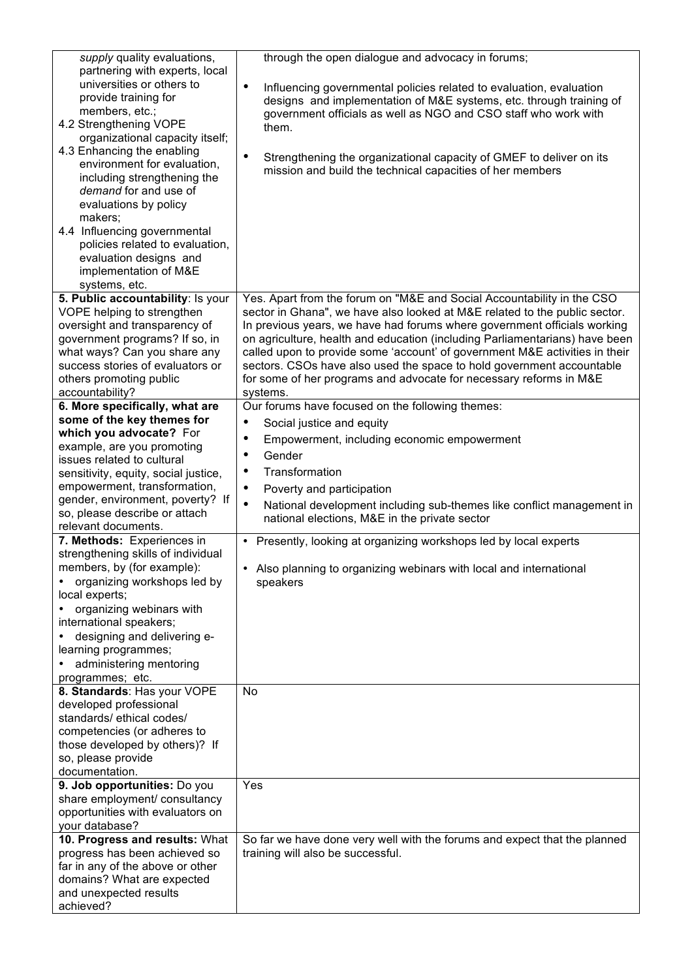| supply quality evaluations,<br>partnering with experts, local<br>universities or others to<br>provide training for<br>members, etc.;<br>4.2 Strengthening VOPE<br>organizational capacity itself;<br>4.3 Enhancing the enabling<br>environment for evaluation,<br>including strengthening the<br>demand for and use of<br>evaluations by policy<br>makers;<br>4.4 Influencing governmental<br>policies related to evaluation,<br>evaluation designs and<br>implementation of M&E<br>systems, etc. | through the open dialogue and advocacy in forums;<br>$\bullet$<br>Influencing governmental policies related to evaluation, evaluation<br>designs and implementation of M&E systems, etc. through training of<br>government officials as well as NGO and CSO staff who work with<br>them.<br>$\bullet$<br>Strengthening the organizational capacity of GMEF to deliver on its<br>mission and build the technical capacities of her members                                                                                                                 |
|---------------------------------------------------------------------------------------------------------------------------------------------------------------------------------------------------------------------------------------------------------------------------------------------------------------------------------------------------------------------------------------------------------------------------------------------------------------------------------------------------|-----------------------------------------------------------------------------------------------------------------------------------------------------------------------------------------------------------------------------------------------------------------------------------------------------------------------------------------------------------------------------------------------------------------------------------------------------------------------------------------------------------------------------------------------------------|
| 5. Public accountability: Is your<br>VOPE helping to strengthen<br>oversight and transparency of<br>government programs? If so, in<br>what ways? Can you share any<br>success stories of evaluators or<br>others promoting public<br>accountability?                                                                                                                                                                                                                                              | Yes. Apart from the forum on "M&E and Social Accountability in the CSO<br>sector in Ghana", we have also looked at M&E related to the public sector.<br>In previous years, we have had forums where government officials working<br>on agriculture, health and education (including Parliamentarians) have been<br>called upon to provide some 'account' of government M&E activities in their<br>sectors. CSOs have also used the space to hold government accountable<br>for some of her programs and advocate for necessary reforms in M&E<br>systems. |
| 6. More specifically, what are                                                                                                                                                                                                                                                                                                                                                                                                                                                                    | Our forums have focused on the following themes:                                                                                                                                                                                                                                                                                                                                                                                                                                                                                                          |
| some of the key themes for                                                                                                                                                                                                                                                                                                                                                                                                                                                                        | $\bullet$<br>Social justice and equity                                                                                                                                                                                                                                                                                                                                                                                                                                                                                                                    |
| which you advocate? For                                                                                                                                                                                                                                                                                                                                                                                                                                                                           | $\bullet$<br>Empowerment, including economic empowerment                                                                                                                                                                                                                                                                                                                                                                                                                                                                                                  |
| example, are you promoting                                                                                                                                                                                                                                                                                                                                                                                                                                                                        | Gender<br>$\bullet$                                                                                                                                                                                                                                                                                                                                                                                                                                                                                                                                       |
| issues related to cultural                                                                                                                                                                                                                                                                                                                                                                                                                                                                        | $\bullet$<br>Transformation                                                                                                                                                                                                                                                                                                                                                                                                                                                                                                                               |
| sensitivity, equity, social justice,<br>empowerment, transformation,                                                                                                                                                                                                                                                                                                                                                                                                                              |                                                                                                                                                                                                                                                                                                                                                                                                                                                                                                                                                           |
| gender, environment, poverty? If                                                                                                                                                                                                                                                                                                                                                                                                                                                                  | $\bullet$<br>Poverty and participation                                                                                                                                                                                                                                                                                                                                                                                                                                                                                                                    |
| so, please describe or attach                                                                                                                                                                                                                                                                                                                                                                                                                                                                     | $\bullet$<br>National development including sub-themes like conflict management in                                                                                                                                                                                                                                                                                                                                                                                                                                                                        |
| relevant documents.                                                                                                                                                                                                                                                                                                                                                                                                                                                                               | national elections, M&E in the private sector                                                                                                                                                                                                                                                                                                                                                                                                                                                                                                             |
| 7. Methods: Experiences in                                                                                                                                                                                                                                                                                                                                                                                                                                                                        | • Presently, looking at organizing workshops led by local experts                                                                                                                                                                                                                                                                                                                                                                                                                                                                                         |
| strengthening skills of individual                                                                                                                                                                                                                                                                                                                                                                                                                                                                |                                                                                                                                                                                                                                                                                                                                                                                                                                                                                                                                                           |
| members, by (for example):                                                                                                                                                                                                                                                                                                                                                                                                                                                                        | • Also planning to organizing webinars with local and international                                                                                                                                                                                                                                                                                                                                                                                                                                                                                       |
| organizing workshops led by                                                                                                                                                                                                                                                                                                                                                                                                                                                                       | speakers                                                                                                                                                                                                                                                                                                                                                                                                                                                                                                                                                  |
| local experts;                                                                                                                                                                                                                                                                                                                                                                                                                                                                                    |                                                                                                                                                                                                                                                                                                                                                                                                                                                                                                                                                           |
| organizing webinars with                                                                                                                                                                                                                                                                                                                                                                                                                                                                          |                                                                                                                                                                                                                                                                                                                                                                                                                                                                                                                                                           |
| international speakers;                                                                                                                                                                                                                                                                                                                                                                                                                                                                           |                                                                                                                                                                                                                                                                                                                                                                                                                                                                                                                                                           |
| designing and delivering e-                                                                                                                                                                                                                                                                                                                                                                                                                                                                       |                                                                                                                                                                                                                                                                                                                                                                                                                                                                                                                                                           |
| learning programmes;                                                                                                                                                                                                                                                                                                                                                                                                                                                                              |                                                                                                                                                                                                                                                                                                                                                                                                                                                                                                                                                           |
| administering mentoring                                                                                                                                                                                                                                                                                                                                                                                                                                                                           |                                                                                                                                                                                                                                                                                                                                                                                                                                                                                                                                                           |
| programmes; etc.                                                                                                                                                                                                                                                                                                                                                                                                                                                                                  |                                                                                                                                                                                                                                                                                                                                                                                                                                                                                                                                                           |
| 8. Standards: Has your VOPE                                                                                                                                                                                                                                                                                                                                                                                                                                                                       | No                                                                                                                                                                                                                                                                                                                                                                                                                                                                                                                                                        |
| developed professional                                                                                                                                                                                                                                                                                                                                                                                                                                                                            |                                                                                                                                                                                                                                                                                                                                                                                                                                                                                                                                                           |
| standards/ ethical codes/                                                                                                                                                                                                                                                                                                                                                                                                                                                                         |                                                                                                                                                                                                                                                                                                                                                                                                                                                                                                                                                           |
| competencies (or adheres to                                                                                                                                                                                                                                                                                                                                                                                                                                                                       |                                                                                                                                                                                                                                                                                                                                                                                                                                                                                                                                                           |
| those developed by others)? If                                                                                                                                                                                                                                                                                                                                                                                                                                                                    |                                                                                                                                                                                                                                                                                                                                                                                                                                                                                                                                                           |
| so, please provide                                                                                                                                                                                                                                                                                                                                                                                                                                                                                |                                                                                                                                                                                                                                                                                                                                                                                                                                                                                                                                                           |
| documentation.                                                                                                                                                                                                                                                                                                                                                                                                                                                                                    | Yes                                                                                                                                                                                                                                                                                                                                                                                                                                                                                                                                                       |
| 9. Job opportunities: Do you<br>share employment/ consultancy                                                                                                                                                                                                                                                                                                                                                                                                                                     |                                                                                                                                                                                                                                                                                                                                                                                                                                                                                                                                                           |
|                                                                                                                                                                                                                                                                                                                                                                                                                                                                                                   |                                                                                                                                                                                                                                                                                                                                                                                                                                                                                                                                                           |
| opportunities with evaluators on                                                                                                                                                                                                                                                                                                                                                                                                                                                                  |                                                                                                                                                                                                                                                                                                                                                                                                                                                                                                                                                           |
| your database?<br>10. Progress and results: What                                                                                                                                                                                                                                                                                                                                                                                                                                                  | So far we have done very well with the forums and expect that the planned                                                                                                                                                                                                                                                                                                                                                                                                                                                                                 |
| progress has been achieved so                                                                                                                                                                                                                                                                                                                                                                                                                                                                     | training will also be successful.                                                                                                                                                                                                                                                                                                                                                                                                                                                                                                                         |
| far in any of the above or other                                                                                                                                                                                                                                                                                                                                                                                                                                                                  |                                                                                                                                                                                                                                                                                                                                                                                                                                                                                                                                                           |
| domains? What are expected                                                                                                                                                                                                                                                                                                                                                                                                                                                                        |                                                                                                                                                                                                                                                                                                                                                                                                                                                                                                                                                           |
| and unexpected results                                                                                                                                                                                                                                                                                                                                                                                                                                                                            |                                                                                                                                                                                                                                                                                                                                                                                                                                                                                                                                                           |
| achieved?                                                                                                                                                                                                                                                                                                                                                                                                                                                                                         |                                                                                                                                                                                                                                                                                                                                                                                                                                                                                                                                                           |
|                                                                                                                                                                                                                                                                                                                                                                                                                                                                                                   |                                                                                                                                                                                                                                                                                                                                                                                                                                                                                                                                                           |